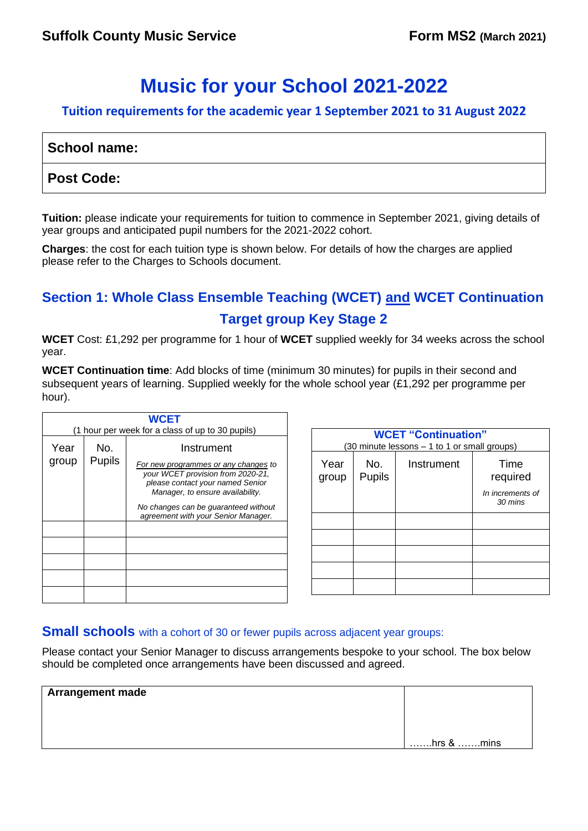# **Music for your School 2021-2022**

#### **Tuition requirements for the academic year 1 September 2021 to 31 August 2022**

| School name:      |  |
|-------------------|--|
| <b>Post Code:</b> |  |

**Tuition:** please indicate your requirements for tuition to commence in September 2021, giving details of year groups and anticipated pupil numbers for the 2021-2022 cohort.

**Charges**: the cost for each tuition type is shown below. For details of how the charges are applied please refer to the Charges to Schools document.

# **Section 1: Whole Class Ensemble Teaching (WCET) and WCET Continuation Target group Key Stage 2**

**WCET** Cost: £1,292 per programme for 1 hour of **WCET** supplied weekly for 34 weeks across the school year.

**WCET Continuation time**: Add blocks of time (minimum 30 minutes) for pupils in their second and subsequent years of learning. Supplied weekly for the whole school year (£1,292 per programme per hour).

| <b>WCET</b>                                                                                                                                                                                                                                                                             |  |  |  |
|-----------------------------------------------------------------------------------------------------------------------------------------------------------------------------------------------------------------------------------------------------------------------------------------|--|--|--|
| (1 hour per week for a class of up to 30 pupils)                                                                                                                                                                                                                                        |  |  |  |
| Year<br>No.<br>Instrument<br><b>Pupils</b><br>group<br>For new programmes or any changes to<br>your WCET provision from 2020-21,<br>please contact your named Senior<br>Manager, to ensure availability.<br>No changes can be guaranteed without<br>agreement with your Senior Manager. |  |  |  |
|                                                                                                                                                                                                                                                                                         |  |  |  |

| <b>WCET "Continuation"</b><br>(30 minute lessons - 1 to 1 or small groups) |                      |            |                             |
|----------------------------------------------------------------------------|----------------------|------------|-----------------------------|
| Year<br>group                                                              | No.<br><b>Pupils</b> | Instrument | Time<br>required            |
|                                                                            |                      |            | In increments of<br>30 mins |
|                                                                            |                      |            |                             |
|                                                                            |                      |            |                             |
|                                                                            |                      |            |                             |
|                                                                            |                      |            |                             |
|                                                                            |                      |            |                             |

#### **Small schools** with a cohort of 30 or fewer pupils across adjacent year groups:

Please contact your Senior Manager to discuss arrangements bespoke to your school. The box below should be completed once arrangements have been discussed and agreed.

| <b>Arrangement made</b> |                            |
|-------------------------|----------------------------|
|                         |                            |
|                         |                            |
|                         | $\dots$ hrs & $\dots$ mins |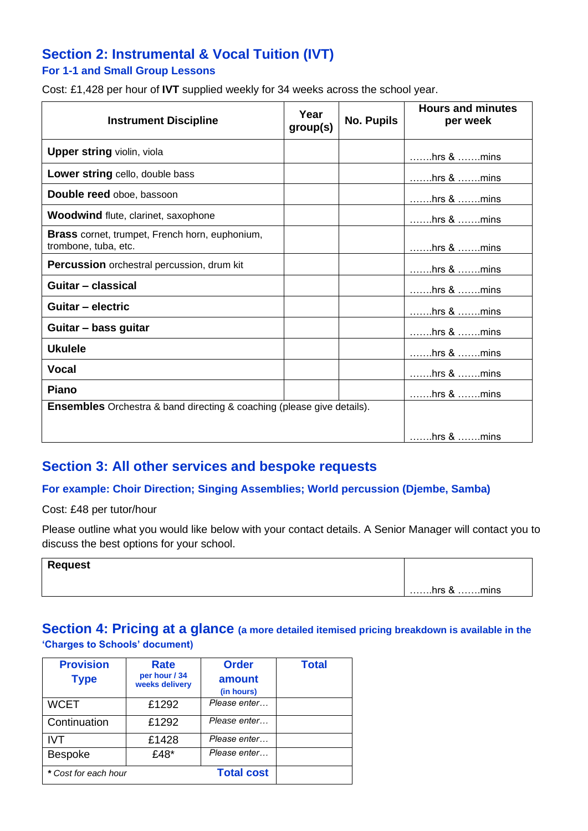# **Section 2: Instrumental & Vocal Tuition (IVT)**

#### **For 1-1 and Small Group Lessons**

Cost: £1,428 per hour of **IVT** supplied weekly for 34 weeks across the school year.

| <b>Instrument Discipline</b>                                                  | Year<br>group(s) | <b>No. Pupils</b> | <b>Hours and minutes</b><br>per week   |
|-------------------------------------------------------------------------------|------------------|-------------------|----------------------------------------|
| <b>Upper string violin, viola</b>                                             |                  |                   | $\dots\dots$ hrs & $\dots\dots$ . mins |
| Lower string cello, double bass                                               |                  |                   |                                        |
| Double reed oboe, bassoon                                                     |                  |                   |                                        |
| <b>Woodwind flute, clarinet, saxophone</b>                                    |                  |                   | $\ldots$ hrs & $\ldots$ mins           |
| Brass cornet, trumpet, French horn, euphonium,<br>trombone, tuba, etc.        |                  |                   | $\dots$ hrs & $\dots$ mins             |
| <b>Percussion</b> orchestral percussion, drum kit                             |                  |                   | $\dots\dots$ hrs & $\dots\dots$ . mins |
| Guitar - classical                                                            |                  |                   | $\dots\dots$ hrs & $\dots\dots$ mins   |
| Guitar - electric                                                             |                  |                   | $\ldots$ hrs & $\ldots$ mins           |
| Guitar - bass guitar                                                          |                  |                   | $\dots\dots$ hrs & $\dots\dots$ . mins |
| <b>Ukulele</b>                                                                |                  |                   | $\dots\dots$ hrs & $\dots\dots$ . mins |
| Vocal                                                                         |                  |                   | $\dots\dots$ hrs & $\dots\dots$ mins   |
| Piano                                                                         |                  |                   | $\dots\dots$ hrs & $\dots\dots$ . mins |
| <b>Ensembles</b> Orchestra & band directing & coaching (please give details). |                  |                   |                                        |
|                                                                               |                  |                   |                                        |

### **Section 3: All other services and bespoke requests**

#### **For example: Choir Direction; Singing Assemblies; World percussion (Djembe, Samba)**

Cost: £48 per tutor/hour

Please outline what you would like below with your contact details. A Senior Manager will contact you to discuss the best options for your school.

| <b>Request</b> |                              |
|----------------|------------------------------|
|                | $\ldots$ hrs & $\ldots$ mins |

#### **Section 4: Pricing at a glance (a more detailed itemised pricing breakdown is available in the 'Charges to Schools' document)**

| <b>Provision</b><br><b>Type</b> | Rate<br>per hour / 34<br>weeks delivery | <b>Order</b><br>amount<br>(in hours) | <b>Total</b> |
|---------------------------------|-----------------------------------------|--------------------------------------|--------------|
| <b>WCET</b>                     | £1292                                   | Please enter                         |              |
| Continuation                    | £1292                                   | Please enter                         |              |
| <b>IVT</b>                      | £1428                                   | Please enter                         |              |
| Bespoke                         | £48*                                    | Please enter                         |              |
| * Cost for each hour            |                                         | <b>Total cost</b>                    |              |